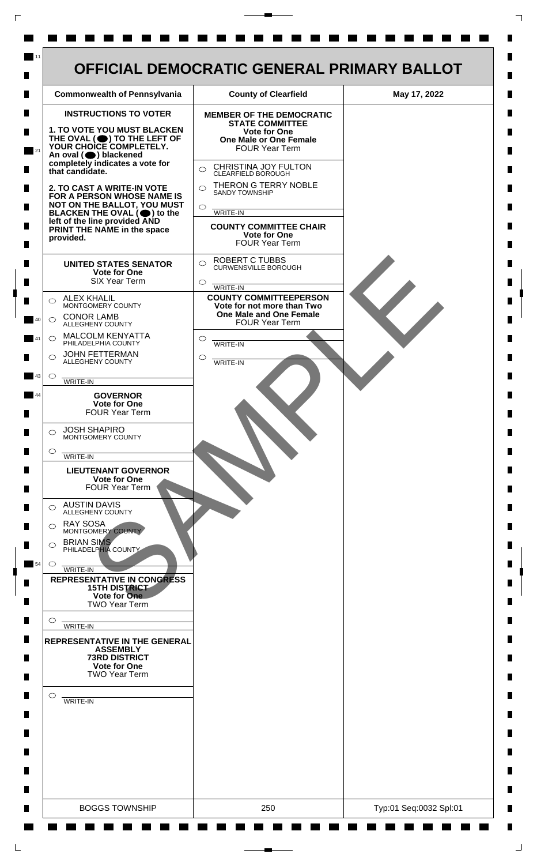| <b>INSTRUCTIONS TO VOTER</b><br>1. TO VOTE YOU MUST BLACKEN                                                                                                                                                                                                                                 | <b>MEMBER OF THE DEMOCRATIC</b>                                                |  |
|---------------------------------------------------------------------------------------------------------------------------------------------------------------------------------------------------------------------------------------------------------------------------------------------|--------------------------------------------------------------------------------|--|
|                                                                                                                                                                                                                                                                                             | <b>STATE COMMITTEE</b>                                                         |  |
| THE OVAL (O) TO THE LEFT OF YOUR CHOICE COMPLETELY.                                                                                                                                                                                                                                         | <b>Vote for One</b><br><b>One Male or One Female</b><br><b>FOUR Year Term</b>  |  |
| An oval (O) blackened<br>completely indicates a vote for<br>that candidate.<br>2. TO CAST A WRITE-IN VOTE<br>FOR A PERSON WHOSE NAME IS<br>NOT ON THE BALLOT, YOU MUST<br>BLACKEN THE OVAL $(\bigcirc)$ to the<br>left of the line provided AND<br>PRINT THE NAME in the space<br>provided. | CHRISTINA JOY FULTON<br>$\bigcirc$<br>CLEARFIELD BOROUGH                       |  |
|                                                                                                                                                                                                                                                                                             | THERON G TERRY NOBLE<br>$\bigcap$<br><b>SANDY TOWNSHIP</b>                     |  |
|                                                                                                                                                                                                                                                                                             | $\circ$<br>WRITE-IN                                                            |  |
|                                                                                                                                                                                                                                                                                             | <b>COUNTY COMMITTEE CHAIR</b><br><b>Vote for One</b><br>FOUR Year Term         |  |
| <b>UNITED STATES SENATOR</b><br><b>Vote for One</b><br><b>SIX Year Term</b>                                                                                                                                                                                                                 | <b>ROBERT C TUBBS</b><br>$\bigcirc$<br><b>CURWENSVILLE BOROUGH</b><br>$\circ$  |  |
| <b>ALEX KHALIL</b><br>$\bigcirc$                                                                                                                                                                                                                                                            | WRITE-IN<br><b>COUNTY COMMITTEEPERSON</b>                                      |  |
| MONTGOMERY COUNTY<br><b>CONOR LAMB</b><br>$\bigcirc$<br>ALLEGHENY COUNTY                                                                                                                                                                                                                    | Vote for not more than Two<br>One Male and One Female<br><b>FOUR Year Term</b> |  |
| <b>MALCOLM KENYATTA</b><br>$\circ$<br>PHILADELPHIA COUNTY                                                                                                                                                                                                                                   | $\circlearrowright$<br>WRITE-IN                                                |  |
| <b>JOHN FETTERMAN</b><br>⌒<br>ALLEGHENY COUNTY                                                                                                                                                                                                                                              | ◯<br><b>WRITE-IN</b>                                                           |  |
| $\circ$<br>WRITE-IN                                                                                                                                                                                                                                                                         |                                                                                |  |
| <b>GOVERNOR</b><br>Vote for One<br><b>FOUR Year Term</b>                                                                                                                                                                                                                                    |                                                                                |  |
| <b>JOSH SHAPIRO</b><br>⌒<br>MONTGOMERY COUNTY                                                                                                                                                                                                                                               |                                                                                |  |
| $\circ$<br>WRITE-IN                                                                                                                                                                                                                                                                         |                                                                                |  |
| <b>LIEUTENANT GOVERNOR</b><br><b>Vote for One</b><br><b>FOUR Year Term</b>                                                                                                                                                                                                                  |                                                                                |  |
| <b>AUSTIN DAVIS</b><br>◯<br><b>ALLEGHENY COUNTY</b>                                                                                                                                                                                                                                         |                                                                                |  |
| <b>RAY SOSA</b><br>⌒<br>MONTGOMERY COUNTY                                                                                                                                                                                                                                                   |                                                                                |  |
| <b>BRIAN SIMS</b><br>PHILADELPHIA COUNTY                                                                                                                                                                                                                                                    |                                                                                |  |
| $\circ$<br>WRITE-IN<br><b>REPRESENTATIVE IN CONGRESS</b><br><b>15TH DISTRICT</b><br>Vote for One                                                                                                                                                                                            |                                                                                |  |
| <b>TWO Year Term</b><br>O                                                                                                                                                                                                                                                                   |                                                                                |  |
| WRITE-IN<br><b>REPRESENTATIVE IN THE GENERAL</b>                                                                                                                                                                                                                                            |                                                                                |  |
| <b>ASSEMBLY</b><br><b>73RD DISTRICT</b><br><b>Vote for One</b><br><b>TWO Year Term</b>                                                                                                                                                                                                      |                                                                                |  |
| $\circ$<br>WRITE-IN                                                                                                                                                                                                                                                                         |                                                                                |  |
|                                                                                                                                                                                                                                                                                             |                                                                                |  |
|                                                                                                                                                                                                                                                                                             |                                                                                |  |
|                                                                                                                                                                                                                                                                                             |                                                                                |  |

 $\Gamma$ 

 $\Box$ 

 $\perp$ 

٦